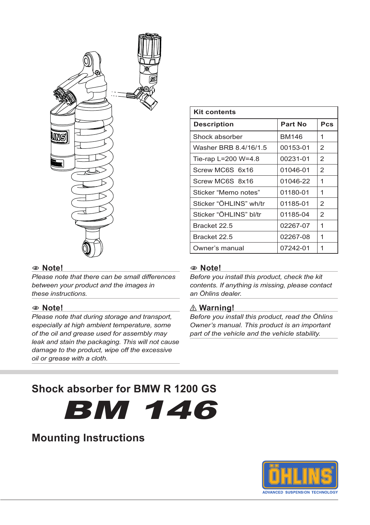

# **Kit contents Description Part No Pcs** Shock absorber BM146 1 Washer BRB 8.4/16/1.5 00153-01 2 Tie-rap L=200 W=4.8  $\big|$  00231-01 2 Screw MC6S 6x16 | 01046-01 | 2 Screw MC6S 8x16 | 01046-22 | 1 Sticker "Memo notes" | 01180-01 | 1 Sticker "ÖHLINS" wh/tr  $\left| \right|$  01185-01  $\left|$  2 Sticker "ÖHLINS" bl/tr $\vert$  01185-04 2 Bracket 22.5 02267-07 | 1 Bracket 22.5 02267-08 1 Owner's manual 07242-01 | 1

#### 1 **Note!**

*Please note that there can be small differences between your product and the images in these instructions.*

#### 1 **Note!**

*Please note that during storage and transport, especially at high ambient temperature, some of the oil and grease used for assembly may leak and stain the packaging. This will not cause damage to the product, wipe off the excessive oil or grease with a cloth.*

#### 1 **Note!**

*Before you install this product, check the kit contents. If anything is missing, please contact an Öhlins dealer.*

#### ⚠**⚠ Warning!**

*Before you install this product, read the Öhlins Owner's manual. This product is an important part of the vehicle and the vehicle stability.*

# **Shock absorber for BMW R 1200 GS**

BM 146

# **Mounting Instructions**

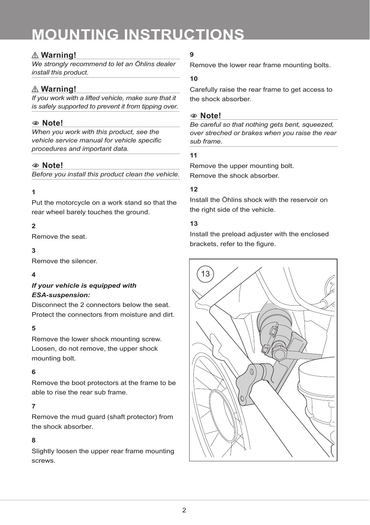# **MOUNTING INSTRUCTIONS**

## ⚠**⚠ Warning!**

*We strongly recommend to let an Öhlins dealer install this product.*

## ⚠**⚠ Warning!**

*If you work with a lifted vehicle, make sure that it is safely supported to prevent it from tipping over.*

### 1 **Note!**

*When you work with this product, see the vehicle service manual for vehicle specific procedures and important data.*

#### 1 **Note!**

*Before you install this product clean the vehicle.*

#### **1**

Put the motorcycle on a work stand so that the rear wheel barely touches the ground.

#### **2**

Remove the seat.

#### **3**

Remove the silencer.

#### **4**

#### *If your vehicle is equipped with ESA-suspension:*

Disconnect the 2 connectors below the seat. Protect the connectors from moisture and dirt.

#### **5**

Remove the lower shock mounting screw. Loosen, do not remove, the upper shock mounting bolt.

#### **6**

Remove the boot protectors at the frame to be able to rise the rear sub frame.

#### **7**

Remove the mud guard (shaft protector) from the shock absorber.

#### **8**

Slightly loosen the upper rear frame mounting screws.

## **9**

Remove the lower rear frame mounting bolts.

#### **10**

Carefully raise the rear frame to get access to the shock absorber.

#### 1 **Note!**

*Be careful so that nothing gets bent, squeezed, over streched or brakes when you raise the rear sub frame.*

#### **11**

Remove the upper mounting bolt. Remove the shock absorber.

#### **12**

Install the Öhlins shock with the reservoir on the right side of the vehicle.

#### **13**

Install the preload adjuster with the enclosed brackets, refer to the figure.

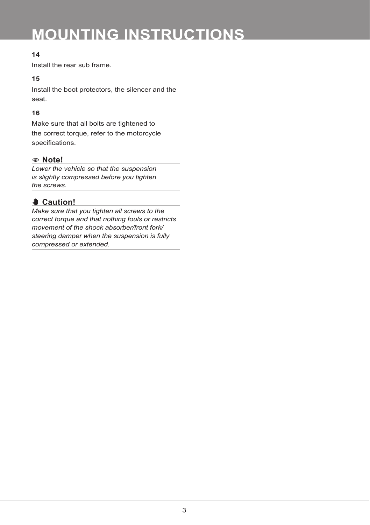# **MOUNTING INSTRUCTIONS**

### **14**

Install the rear sub frame.

#### **15**

Install the boot protectors, the silencer and the seat.

#### **16**

Make sure that all bolts are tightened to the correct torque, refer to the motorcycle specifications.

#### 1 **Note!**

*Lower the vehicle so that the suspension is slightly compressed before you tighten the screws.*

# ✋**✋ Caution!**

*Make sure that you tighten all screws to the correct torque and that nothing fouls or restricts movement of the shock absorber/front fork/ steering damper when the suspension is fully compressed or extended.*